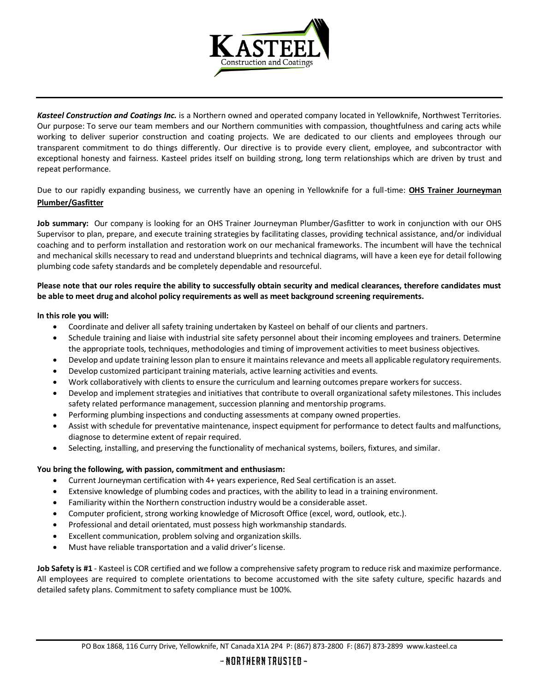

*Kasteel Construction and Coatings Inc.* is a Northern owned and operated company located in Yellowknife, Northwest Territories. Our purpose: To serve our team members and our Northern communities with compassion, thoughtfulness and caring acts while working to deliver superior construction and coating projects. We are dedicated to our clients and employees through our transparent commitment to do things differently. Our directive is to provide every client, employee, and subcontractor with exceptional honesty and fairness. Kasteel prides itself on building strong, long term relationships which are driven by trust and repeat performance.

Due to our rapidly expanding business, we currently have an opening in Yellowknife for a full-time: **OHS Trainer Journeyman Plumber/Gasfitter**

**Job summary:** Our company is looking for an OHS Trainer Journeyman Plumber/Gasfitter to work in conjunction with our OHS Supervisor to plan, prepare, and execute training strategies by facilitating classes, providing technical assistance, and/or individual coaching and to perform installation and restoration work on our mechanical frameworks. The incumbent will have the technical and mechanical skills necessary to read and understand blueprints and technical diagrams, will have a keen eye for detail following plumbing code safety standards and be completely dependable and resourceful.

## **Please note that our roles require the ability to successfully obtain security and medical clearances, therefore candidates must be able to meet drug and alcohol policy requirements as well as meet background screening requirements.**

## **In this role you will:**

- Coordinate and deliver all safety training undertaken by Kasteel on behalf of our clients and partners.
- Schedule training and liaise with industrial site safety personnel about their incoming employees and trainers. Determine the appropriate tools, techniques, methodologies and timing of improvement activities to meet business objectives.
- Develop and update training lesson plan to ensure it maintains relevance and meets all applicable regulatory requirements.
- Develop customized participant training materials, active learning activities and events.
- Work collaboratively with clients to ensure the curriculum and learning outcomes prepare workers for success.
- Develop and implement strategies and initiatives that contribute to overall organizational safety milestones. This includes safety related performance management, succession planning and mentorship programs.
- Performing plumbing inspections and conducting assessments at company owned properties.
- Assist with schedule for preventative maintenance, inspect equipment for performance to detect faults and malfunctions, diagnose to determine extent of repair required.
- Selecting, installing, and preserving the functionality of mechanical systems, boilers, fixtures, and similar.

## **You bring the following, with passion, commitment and enthusiasm:**

- Current Journeyman certification with 4+ years experience, Red Seal certification is an asset.
- Extensive knowledge of plumbing codes and practices, with the ability to lead in a training environment.
- Familiarity within the Northern construction industry would be a considerable asset.
- Computer proficient, strong working knowledge of Microsoft Office (excel, word, outlook, etc.).
- Professional and detail orientated, must possess high workmanship standards.
- Excellent communication, problem solving and organization skills.
- Must have reliable transportation and a valid driver's license.

**Job Safety is #1** - Kasteel is COR certified and we follow a comprehensive safety program to reduce risk and maximize performance. All employees are required to complete orientations to become accustomed with the site safety culture, specific hazards and detailed safety plans. Commitment to safety compliance must be 100%.